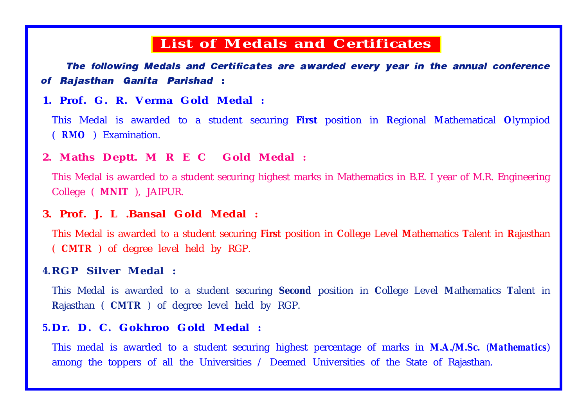# **List of Medals and Certificates**

The following Medals and Certificates are awarded every year in the annual conference of Rajasthan Ganita Parishad :

#### **1. Prof. G. R. Verma Gold Medal :**

This Medal is awarded to a student securing **First** position in **R**egional **M**athematical **O**lympiod ( *RMO* ) Examination.

#### **2. Maths Deptt. M R E C Gold Medal :**

This Medal is awarded to a student securing highest marks in Mathematics in B.E. I year of M.R. Engineering College ( **MNIT** ), JAIPUR.

# **3. Prof. J. L .Bansal Gold Medal :**

This Medal is awarded to a student securing **First** position in **C**ollege Level **M**athematics **T**alent in **R**ajasthan ( **CMTR** ) of degree level held by RGP.

#### **4. RGP Silver Medal :**

This Medal is awarded to a student securing **Second** position in **C**ollege Level **M**athematics **T**alent in **R**ajasthan ( **CMTR** ) of degree level held by RGP.

# **5. Dr. D. C. Gokhroo Gold Medal :**

This medal is awarded to a student securing highest percentage of marks in **M.A./M.Sc.** (*Mathematics*) among the toppers of all the Universities / Deemed Universities of the State of Rajasthan.